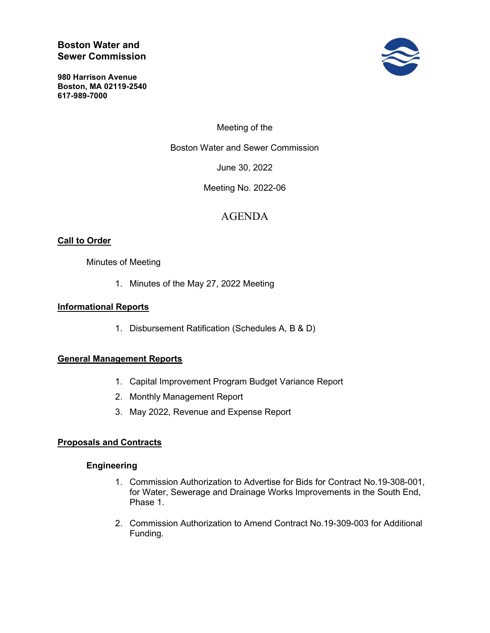# Boston Water and Sewer Commission

980 Harrison Avenue Boston, MA 02119-2540 617-989-7000



Meeting of the

Boston Water and Sewer Commission

June 30, 2022

Meeting No. 2022-06

# AGENDA

# **Call to Order**

# Minutes of Meeting

1. Minutes of the May 27, 2022 Meeting

# Informational Reports

1. Disbursement Ratification (Schedules A, B & D)

# General Management Reports

- 1. Capital Improvement Program Budget Variance Report
- 2. Monthly Management Report
- 3. May 2022, Revenue and Expense Report

#### Proposals and Contracts

#### **Engineering**

- 1. Commission Authorization to Advertise for Bids for Contract No.19-308-001, for Water, Sewerage and Drainage Works Improvements in the South End, Phase 1.
- 2. Commission Authorization to Amend Contract No.19-309-003 for Additional Funding.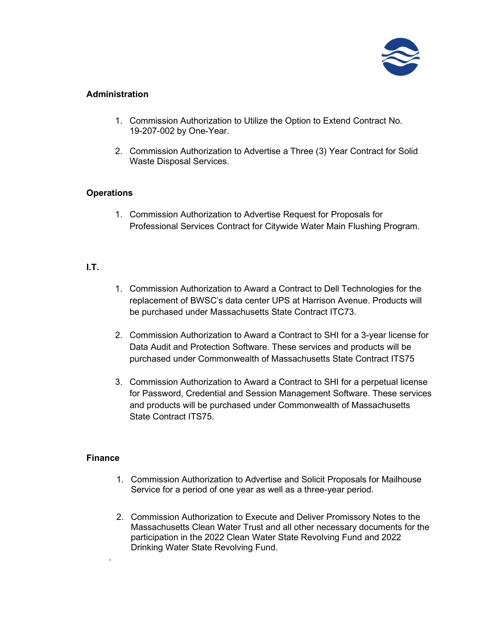

# Administration

- 1. Commission Authorization to Utilize the Option to Extend Contract No. 19-207-002 by One-Year.
- 2. Commission Authorization to Advertise a Three (3) Year Contract for Solid Waste Disposal Services.

# **Operations**

1. Commission Authorization to Advertise Request for Proposals for Professional Services Contract for Citywide Water Main Flushing Program.

# I.T.

- 1. Commission Authorization to Award a Contract to Dell Technologies for the replacement of BWSC's data center UPS at Harrison Avenue. Products will be purchased under Massachusetts State Contract ITC73.
- 2. Commission Authorization to Award a Contract to SHI for a 3-year license for Data Audit and Protection Software. These services and products will be purchased under Commonwealth of Massachusetts State Contract ITS75
- 3. Commission Authorization to Award a Contract to SHI for a perpetual license for Password, Credential and Session Management Software. These services and products will be purchased under Commonwealth of Massachusetts State Contract ITS75.

#### **Finance**

.

- 1. Commission Authorization to Advertise and Solicit Proposals for Mailhouse Service for a period of one year as well as a three-year period.
- 2. Commission Authorization to Execute and Deliver Promissory Notes to the Massachusetts Clean Water Trust and all other necessary documents for the participation in the 2022 Clean Water State Revolving Fund and 2022 Drinking Water State Revolving Fund.